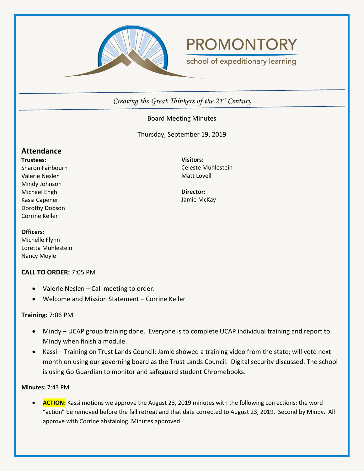

# **PROMONTORY**

school of expeditionary learning

*Creating the Great Thinkers of the 21st Century*

# Board Meeting Minutes

Thursday, September 19, 2019

# **Attendance**

**Trustees:** Sharon Fairbourn Valerie Neslen Mindy Johnson Michael Engh Kassi Capener Dorothy Dobson Corrine Keller

**Visitors:** Celeste Muhlestein Matt Lovell

**Director:** Jamie McKay

#### **Officers:**

Michelle Flynn Loretta Muhlestein Nancy Moyle

## **CALL TO ORDER:** 7:05 PM

- Valerie Neslen Call meeting to order.
- Welcome and Mission Statement Corrine Keller

## **Training:** 7:06 PM

- Mindy UCAP group training done. Everyone is to complete UCAP individual training and report to Mindy when finish a module.
- Kassi Training on Trust Lands Council; Jamie showed a training video from the state; will vote next month on using our governing board as the Trust Lands Council. Digital security discussed. The school is using Go Guardian to monitor and safeguard student Chromebooks.

## **Minutes:** 7:43 PM

• **ACTION:** Kassi motions we approve the August 23, 2019 minutes with the following corrections: the word "action" be removed before the fall retreat and that date corrected to August 23, 2019. Second by Mindy. All approve with Corrine abstaining. Minutes approved.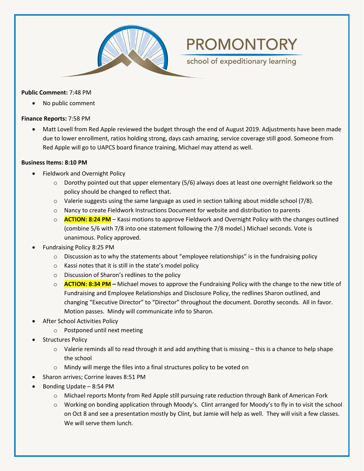

#### **Public Comment:** 7:48 PM

• No public comment

#### **Finance Reports:** 7:58 PM

• Matt Lovell from Red Apple reviewed the budget through the end of August 2019. Adjustments have been made due to lower enrollment, ratios holding strong, days cash amazing, service coverage still good. Someone from Red Apple will go to UAPCS board finance training, Michael may attend as well.

**PROMONTORY** 

school of expeditionary learning

#### **Business Items: 8:10 PM**

- Fieldwork and Overnight Policy
	- $\circ$  Dorothy pointed out that upper elementary (5/6) always does at least one overnight fieldwork so the policy should be changed to reflect that.
	- o Valerie suggests using the same language as used in section talking about middle school (7/8).
	- $\circ$  Nancy to create Fieldwork Instructions Document for website and distribution to parents
	- o **ACTION: 8:24 PM** Kassi motions to approve Fieldwork and Overnight Policy with the changes outlined (combine 5/6 with 7/8 into one statement following the 7/8 model.) Michael seconds. Vote is unanimous. Policy approved.
- Fundraising Policy 8:25 PM
	- $\circ$  Discussion as to why the statements about "employee relationships" is in the fundraising policy
	- o Kassi notes that it is still in the state's model policy
	- o Discussion of Sharon's redlines to the policy
	- o **ACTION: 8:34 PM –** Michael moves to approve the Fundraising Policy with the change to the new title of Fundraising and Employee Relationships and Disclosure Policy, the redlines Sharon outlined, and changing "Executive Director" to "Director" throughout the document. Dorothy seconds. All in favor. Motion passes. Mindy will communicate info to Sharon.
- After School Activities Policy
	- o Postponed until next meeting
- Structures Policy
	- $\circ$  Valerie reminds all to read through it and add anything that is missing this is a chance to help shape the school
	- o Mindy will merge the files into a final structures policy to be voted on
- Sharon arrives; Corrine leaves 8:51 PM
- Bonding Update 8:54 PM
	- o Michael reports Monty from Red Apple still pursuing rate reduction through Bank of American Fork
	- o Working on bonding application through Moody's. Clint arranged for Moody's to fly in to visit the school on Oct 8 and see a presentation mostly by Clint, but Jamie will help as well. They will visit a few classes. We will serve them lunch.